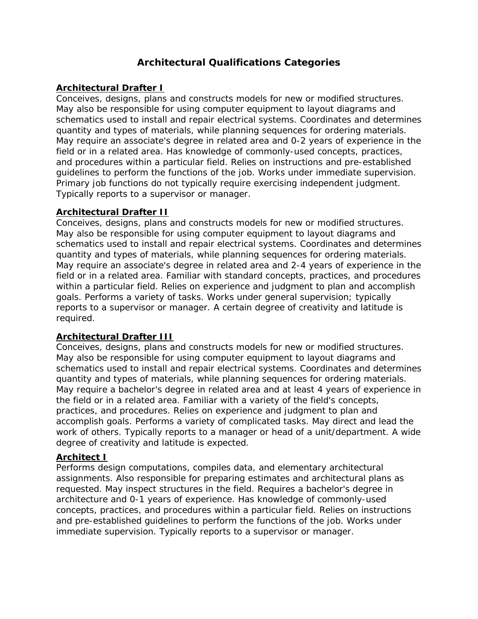# **Architectural Qualifications Categories**

# **Architectural Drafter I**

Conceives, designs, plans and constructs models for new or modified structures. May also be responsible for using computer equipment to layout diagrams and schematics used to install and repair electrical systems. Coordinates and determines quantity and types of materials, while planning sequences for ordering materials. May require an associate's degree in related area and 0-2 years of experience in the field or in a related area. Has knowledge of commonly-used concepts, practices, and procedures within a particular field. Relies on instructions and pre-established guidelines to perform the functions of the job. Works under immediate supervision. Primary job functions do not typically require exercising independent judgment. Typically reports to a supervisor or manager.

# **Architectural Drafter II**

Conceives, designs, plans and constructs models for new or modified structures. May also be responsible for using computer equipment to layout diagrams and schematics used to install and repair electrical systems. Coordinates and determines quantity and types of materials, while planning sequences for ordering materials. May require an associate's degree in related area and 2-4 years of experience in the field or in a related area. Familiar with standard concepts, practices, and procedures within a particular field. Relies on experience and judgment to plan and accomplish goals. Performs a variety of tasks. Works under general supervision; typically reports to a supervisor or manager. A certain degree of creativity and latitude is required.

# **Architectural Drafter III**

Conceives, designs, plans and constructs models for new or modified structures. May also be responsible for using computer equipment to layout diagrams and schematics used to install and repair electrical systems. Coordinates and determines quantity and types of materials, while planning sequences for ordering materials. May require a bachelor's degree in related area and at least 4 years of experience in the field or in a related area. Familiar with a variety of the field's concepts, practices, and procedures. Relies on experience and judgment to plan and accomplish goals. Performs a variety of complicated tasks. May direct and lead the work of others. Typically reports to a manager or head of a unit/department. A wide degree of creativity and latitude is expected.

# **Architect I**

Performs design computations, compiles data, and elementary architectural assignments. Also responsible for preparing estimates and architectural plans as requested. May inspect structures in the field. Requires a bachelor's degree in architecture and 0-1 years of experience. Has knowledge of commonly-used concepts, practices, and procedures within a particular field. Relies on instructions and pre-established guidelines to perform the functions of the job. Works under immediate supervision. Typically reports to a supervisor or manager.